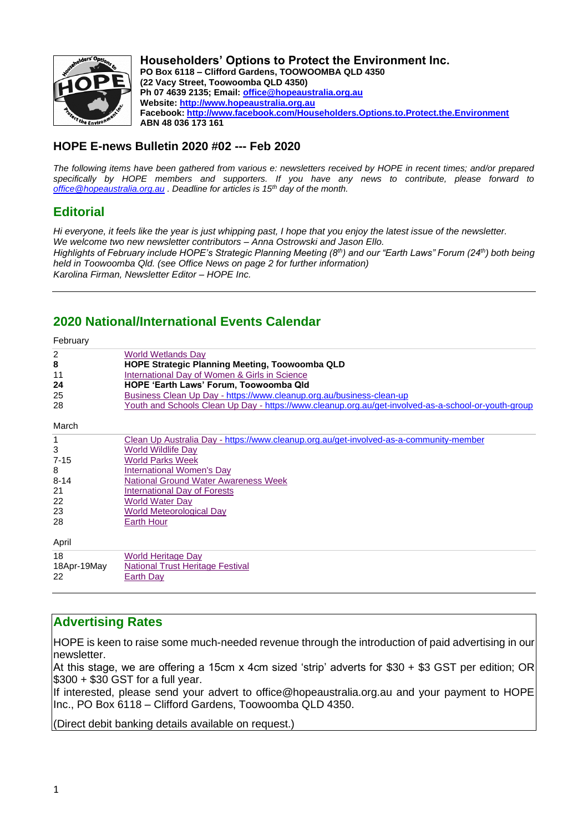

**Householders' Options to Protect the Environment Inc. PO Box 6118 – Clifford Gardens, TOOWOOMBA QLD 4350 (22 Vacy Street, Toowoomba QLD 4350) Ph 07 4639 2135; Email: [office@hopeaustralia.org.au](mailto:office@hopeaustralia.org.au) Website: [http://www.hopeaustralia.org.au](http://www.hopeaustralia.org.au/) Facebook: <http://www.facebook.com/Householders.Options.to.Protect.the.Environment> ABN 48 036 173 161**

# **HOPE E-news Bulletin 2020 #02 --- Feb 2020**

*The following items have been gathered from various e: newsletters received by HOPE in recent times; and/or prepared specifically by HOPE members and supporters. If you have any news to contribute, please forward to [office@hopeaustralia.org.au](mailto:office@hopeaustralia.org.au) . Deadline for articles is 15th day of the month.*

# **Editorial**

*Hi everyone, it feels like the year is just whipping past, I hope that you enjoy the latest issue of the newsletter. We welcome two new newsletter contributors – Anna Ostrowski and Jason Ello. Highlights of February include HOPE's Strategic Planning Meeting (8th) and our "Earth Laws" Forum (24th) both being held in Toowoomba Qld. (see Office News on page 2 for further information) Karolina Firman, Newsletter Editor – HOPE Inc.*

# **2020 National/International Events Calendar**

| February                |                                                                                                     |
|-------------------------|-----------------------------------------------------------------------------------------------------|
| 2                       | <b>World Wetlands Day</b>                                                                           |
| 8                       | <b>HOPE Strategic Planning Meeting, Toowoomba QLD</b>                                               |
| 11                      | International Day of Women & Girls in Science                                                       |
| 24                      | HOPE 'Earth Laws' Forum, Toowoomba Qld                                                              |
| 25                      | Business Clean Up Day - https://www.cleanup.org.au/business-clean-up                                |
| 28                      | Youth and Schools Clean Up Day - https://www.cleanup.org.au/get-involved-as-a-school-or-youth-group |
| March                   |                                                                                                     |
| 1                       | Clean Up Australia Day - https://www.cleanup.org.au/get-involved-as-a-community-member              |
| 3                       | <b>World Wildlife Day</b>                                                                           |
| $7 - 15$                | <b>World Parks Week</b>                                                                             |
| 8                       | International Women's Day                                                                           |
| $8 - 14$                | <b>National Ground Water Awareness Week</b>                                                         |
| 21                      | International Day of Forests                                                                        |
| 22                      | <b>World Water Day</b>                                                                              |
| 23                      | <b>World Meteorological Day</b>                                                                     |
| 28                      | Earth Hour                                                                                          |
| April                   |                                                                                                     |
| 18<br>18Apr-19May<br>22 | <b>World Heritage Day</b><br>National Trust Heritage Festival<br>Earth Day                          |

# **Advertising Rates**

HOPE is keen to raise some much-needed revenue through the introduction of paid advertising in our newsletter.

At this stage, we are offering a 15cm x 4cm sized 'strip' adverts for \$30 + \$3 GST per edition; OR \$300 + \$30 GST for a full year.

If interested, please send your advert to office@hopeaustralia.org.au and your payment to HOPE Inc., PO Box 6118 – Clifford Gardens, Toowoomba QLD 4350.

(Direct debit banking details available on request.)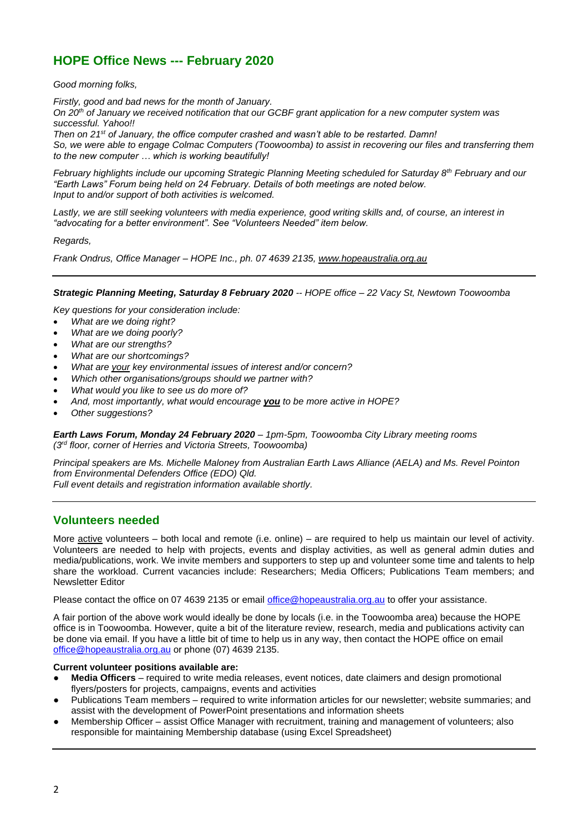# **HOPE Office News --- February 2020**

*Good morning folks,*

*Firstly, good and bad news for the month of January.*

*On 20th of January we received notification that our GCBF grant application for a new computer system was successful. Yahoo!!*

*Then on 21st of January, the office computer crashed and wasn't able to be restarted. Damn! So, we were able to engage Colmac Computers (Toowoomba) to assist in recovering our files and transferring them to the new computer … which is working beautifully!*

*February highlights include our upcoming Strategic Planning Meeting scheduled for Saturday 8th February and our "Earth Laws" Forum being held on 24 February. Details of both meetings are noted below. Input to and/or support of both activities is welcomed.*

*Lastly, we are still seeking volunteers with media experience, good writing skills and, of course, an interest in "advocating for a better environment". See "Volunteers Needed" item below.*

*Regards,*

*Frank Ondrus, Office Manager – HOPE Inc., ph. 07 4639 2135, [www.hopeaustralia.org.au](http://www.hopeaustralia.org.au/)*

*Strategic Planning Meeting, Saturday 8 February 2020 -- HOPE office – 22 Vacy St, Newtown Toowoomba*

*Key questions for your consideration include:*

- *What are we doing right?*
- *What are we doing poorly?*
- *What are our strengths?*
- *What are our shortcomings?*
- *What are your key environmental issues of interest and/or concern?*
- *Which other organisations/groups should we partner with?*
- *What would you like to see us do more of?*
- *And, most importantly, what would encourage you to be more active in HOPE?*
- *Other suggestions?*

*Earth Laws Forum, Monday 24 February 2020 – 1pm-5pm, Toowoomba City Library meeting rooms (3rd floor, corner of Herries and Victoria Streets, Toowoomba)*

*Principal speakers are Ms. Michelle Maloney from Australian Earth Laws Alliance (AELA) and Ms. Revel Pointon from Environmental Defenders Office (EDO) Qld. Full event details and registration information available shortly.*

# **Volunteers needed**

More active volunteers – both local and remote (i.e. online) – are required to help us maintain our level of activity. Volunteers are needed to help with projects, events and display activities, as well as general admin duties and media/publications, work. We invite members and supporters to step up and volunteer some time and talents to help share the workload. Current vacancies include: Researchers; Media Officers; Publications Team members; and Newsletter Editor

Please contact the office on 07 4639 2135 or email [office@hopeaustralia.org.au](mailto:office@hopeaustralia.org.au) to offer your assistance.

A fair portion of the above work would ideally be done by locals (i.e. in the Toowoomba area) because the HOPE office is in Toowoomba. However, quite a bit of the literature review, research, media and publications activity can be done via email. If you have a little bit of time to help us in any way, then contact the HOPE office on email [office@hopeaustralia.org.au](mailto:office@hopeaustralia.org.au) or phone (07) 4639 2135.

#### **Current volunteer positions available are:**

- **Media Officers** required to write media releases, event notices, date claimers and design promotional flyers/posters for projects, campaigns, events and activities
- Publications Team members required to write information articles for our newsletter; website summaries; and assist with the development of PowerPoint presentations and information sheets
- Membership Officer assist Office Manager with recruitment, training and management of volunteers; also responsible for maintaining Membership database (using Excel Spreadsheet)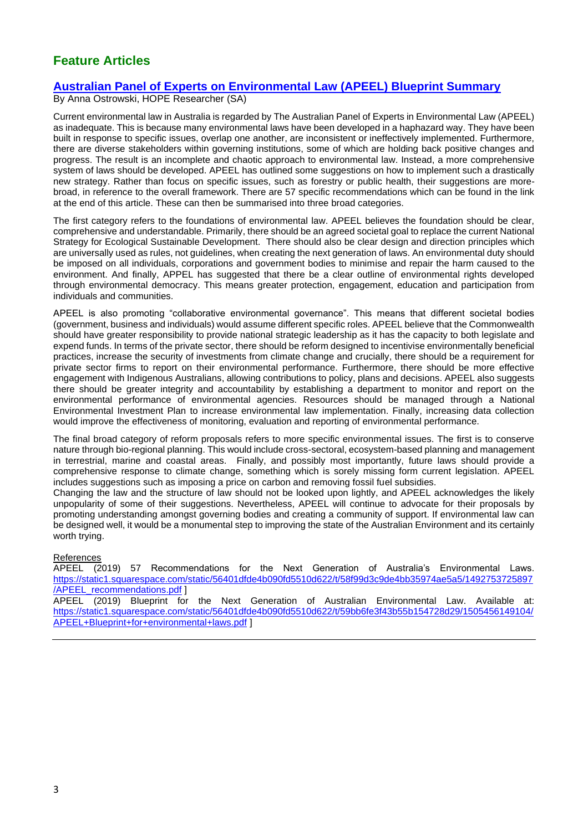# **Feature Articles**

# **[Australian Panel of Experts on Environmental Law \(APEEL\) Blueprint Summary](http://apeel.org.au/)**

By Anna Ostrowski, HOPE Researcher (SA)

Current environmental law in Australia is regarded by The Australian Panel of Experts in Environmental Law (APEEL) as inadequate. This is because many environmental laws have been developed in a haphazard way. They have been built in response to specific issues, overlap one another, are inconsistent or ineffectively implemented. Furthermore, there are diverse stakeholders within governing institutions, some of which are holding back positive changes and progress. The result is an incomplete and chaotic approach to environmental law. Instead, a more comprehensive system of laws should be developed. APEEL has outlined some suggestions on how to implement such a drastically new strategy. Rather than focus on specific issues, such as forestry or public health, their suggestions are morebroad, in reference to the overall framework. There are 57 specific recommendations which can be found in the link at the end of this article. These can then be summarised into three broad categories.

The first category refers to the foundations of environmental law. APEEL believes the foundation should be clear, comprehensive and understandable. Primarily, there should be an agreed societal goal to replace the current National Strategy for Ecological Sustainable Development. There should also be clear design and direction principles which are universally used as rules, not guidelines, when creating the next generation of laws. An environmental duty should be imposed on all individuals, corporations and government bodies to minimise and repair the harm caused to the environment. And finally, APPEL has suggested that there be a clear outline of environmental rights developed through environmental democracy. This means greater protection, engagement, education and participation from individuals and communities.

APEEL is also promoting "collaborative environmental governance". This means that different societal bodies (government, business and individuals) would assume different specific roles. APEEL believe that the Commonwealth should have greater responsibility to provide national strategic leadership as it has the capacity to both legislate and expend funds. In terms of the private sector, there should be reform designed to incentivise environmentally beneficial practices, increase the security of investments from climate change and crucially, there should be a requirement for private sector firms to report on their environmental performance. Furthermore, there should be more effective engagement with Indigenous Australians, allowing contributions to policy, plans and decisions. APEEL also suggests there should be greater integrity and accountability by establishing a department to monitor and report on the environmental performance of environmental agencies. Resources should be managed through a National Environmental Investment Plan to increase environmental law implementation. Finally, increasing data collection would improve the effectiveness of monitoring, evaluation and reporting of environmental performance.

The final broad category of reform proposals refers to more specific environmental issues. The first is to conserve nature through bio-regional planning. This would include cross-sectoral, ecosystem-based planning and management in terrestrial, marine and coastal areas. Finally, and possibly most importantly, future laws should provide a comprehensive response to climate change, something which is sorely missing form current legislation. APEEL includes suggestions such as imposing a price on carbon and removing fossil fuel subsidies.

Changing the law and the structure of law should not be looked upon lightly, and APEEL acknowledges the likely unpopularity of some of their suggestions. Nevertheless, APEEL will continue to advocate for their proposals by promoting understanding amongst governing bodies and creating a community of support. If environmental law can be designed well, it would be a monumental step to improving the state of the Australian Environment and its certainly worth trying.

References

APEEL (2019) 57 Recommendations for the Next Generation of Australia's Environmental Laws. [https://static1.squarespace.com/static/56401dfde4b090fd5510d622/t/58f99d3c9de4bb35974ae5a5/1492753725897](https://static1.squarespace.com/static/56401dfde4b090fd5510d622/t/58f99d3c9de4bb35974ae5a5/1492753725897/APEEL_recommendations.pdf) [/APEEL\\_recommendations.pdf](https://static1.squarespace.com/static/56401dfde4b090fd5510d622/t/58f99d3c9de4bb35974ae5a5/1492753725897/APEEL_recommendations.pdf) ]

APEEL (2019) Blueprint for the Next Generation of Australian Environmental Law. Available at: [https://static1.squarespace.com/static/56401dfde4b090fd5510d622/t/59bb6fe3f43b55b154728d29/1505456149104/](https://static1.squarespace.com/static/56401dfde4b090fd5510d622/t/59bb6fe3f43b55b154728d29/1505456149104/APEEL+Blueprint+for+environmental+laws.pdf) [APEEL+Blueprint+for+environmental+laws.pdf](https://static1.squarespace.com/static/56401dfde4b090fd5510d622/t/59bb6fe3f43b55b154728d29/1505456149104/APEEL+Blueprint+for+environmental+laws.pdf) ]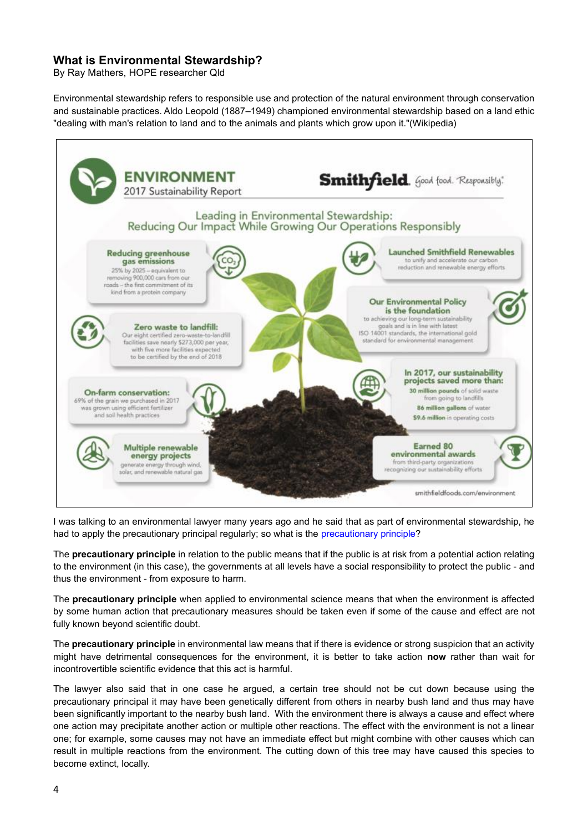# **What is Environmental Stewardship?**

By Ray Mathers, HOPE researcher Qld

Environmental stewardship refers to responsible use and protection of the natural environment through conservation and sustainable practices. Aldo Leopold (1887–1949) championed environmental stewardship based on a land ethic "dealing with man's relation to land and to the animals and plants which grow upon it."(Wikipedia)



I was talking to an environmental lawyer many years ago and he said that as part of environmental stewardship, he had to apply the precautionary principal regularly; so what is the [precautionary principle?](https://en.wikipedia.org/wiki/Precautionary_principle)

The **precautionary principle** in relation to the public means that if the public is at risk from a potential action relating to the environment (in this case), the governments at all levels have a social responsibility to protect the public - and thus the environment - from exposure to harm.

The **precautionary principle** when applied to environmental science means that when the environment is affected by some human action that precautionary measures should be taken even if some of the cause and effect are not fully known beyond scientific doubt.

The **precautionary principle** in environmental law means that if there is evidence or strong suspicion that an activity might have detrimental consequences for the environment, it is better to take action **now** rather than wait for incontrovertible scientific evidence that this act is harmful.

The lawyer also said that in one case he argued, a certain tree should not be cut down because using the precautionary principal it may have been genetically different from others in nearby bush land and thus may have been significantly important to the nearby bush land. With the environment there is always a cause and effect where one action may precipitate another action or multiple other reactions. The effect with the environment is not a linear one; for example, some causes may not have an immediate effect but might combine with other causes which can result in multiple reactions from the environment. The cutting down of this tree may have caused this species to become extinct, locally.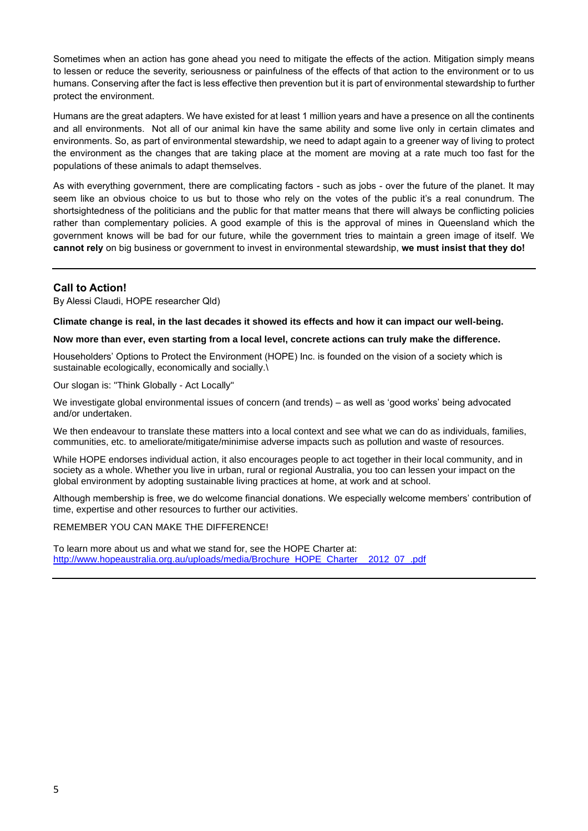Sometimes when an action has gone ahead you need to mitigate the effects of the action. Mitigation simply means to lessen or reduce the severity, seriousness or painfulness of the effects of that action to the environment or to us humans. Conserving after the fact is less effective then prevention but it is part of environmental stewardship to further protect the environment.

Humans are the great adapters. We have existed for at least 1 million years and have a presence on all the continents and all environments. Not all of our animal kin have the same ability and some live only in certain climates and environments. So, as part of environmental stewardship, we need to adapt again to a greener way of living to protect the environment as the changes that are taking place at the moment are moving at a rate much too fast for the populations of these animals to adapt themselves.

As with everything government, there are complicating factors - such as jobs - over the future of the planet. It may seem like an obvious choice to us but to those who rely on the votes of the public it's a real conundrum. The shortsightedness of the politicians and the public for that matter means that there will always be conflicting policies rather than complementary policies. A good example of this is the approval of mines in Queensland which the government knows will be bad for our future, while the government tries to maintain a green image of itself. We **cannot rely** on big business or government to invest in environmental stewardship, **we must insist that they do!**

# **Call to Action!**

By Alessi Claudi, HOPE researcher Qld)

**Climate change is real, in the last decades it showed its effects and how it can impact our well-being.**

## **Now more than ever, even starting from a local level, concrete actions can truly make the difference.**

Householders' Options to Protect the Environment (HOPE) Inc. is founded on the vision of a society which is sustainable ecologically, economically and socially.\

Our slogan is: "Think Globally - Act Locally"

We investigate global environmental issues of concern (and trends) – as well as 'good works' being advocated and/or undertaken.

We then endeavour to translate these matters into a local context and see what we can do as individuals, families, communities, etc. to ameliorate/mitigate/minimise adverse impacts such as pollution and waste of resources.

While HOPE endorses individual action, it also encourages people to act together in their local community, and in society as a whole. Whether you live in urban, rural or regional Australia, you too can lessen your impact on the global environment by adopting sustainable living practices at home, at work and at school.

Although membership is free, we do welcome financial donations. We especially welcome members' contribution of time, expertise and other resources to further our activities.

### REMEMBER YOU CAN MAKE THE DIFFERENCE!

To learn more about us and what we stand for, see the HOPE Charter at: [http://www.hopeaustralia.org.au/uploads/media/Brochure\\_HOPE\\_Charter\\_\\_2012\\_07\\_.pdf](http://www.hopeaustralia.org.au/uploads/media/Brochure_HOPE_Charter__2012_07_.pdf)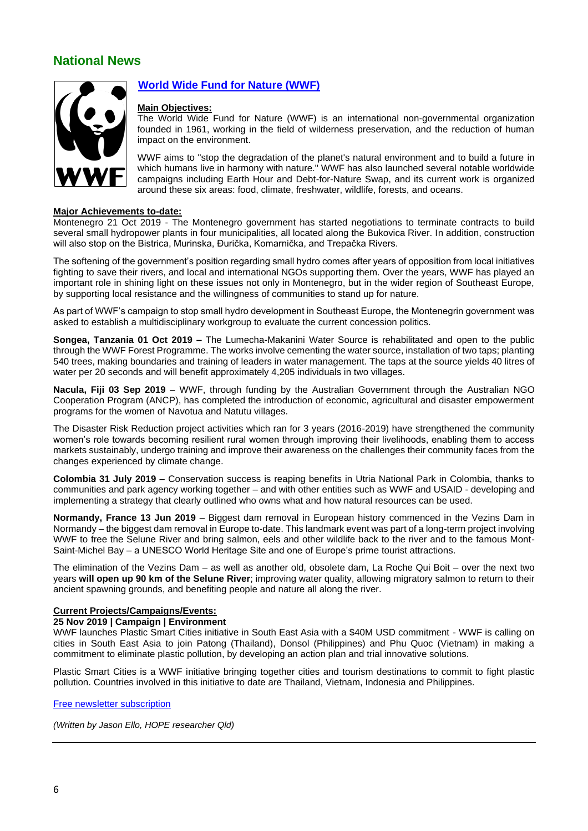# **National News**



# **[World Wide Fund for Nature \(WWF\)](http://wwf.panda.org/)**

### **Main Objectives:**

The World Wide Fund for Nature (WWF) is an international non-governmental organization founded in 1961, working in the field of wilderness preservation, and the reduction of human impact on the environment.

WWF aims to "stop the degradation of the planet's natural environment and to build a future in which humans live in harmony with nature." WWF has also launched several notable worldwide campaigns including Earth Hour and Debt-for-Nature Swap, and its current work is organized around these six areas: food, climate, freshwater, wildlife, forests, and oceans.

#### **Major Achievements to-date:**

Montenegro 21 Oct 2019 - The Montenegro government has started negotiations to terminate contracts to build several small hydropower plants in four municipalities, all located along the Bukovica River. In addition, construction will also stop on the Bistrica, Murinska, Đurička, Komarnička, and Trepačka Rivers.

The softening of the government's position regarding small hydro comes after years of opposition from local initiatives fighting to save their rivers, and local and international NGOs supporting them. Over the years, WWF has played an important role in shining light on these issues not only in Montenegro, but in the wider region of Southeast Europe, by supporting local resistance and the willingness of communities to stand up for nature.

As part of WWF's campaign to stop small hydro development in Southeast Europe, the Montenegrin government was asked to establish a multidisciplinary workgroup to evaluate the current concession politics.

**Songea, Tanzania 01 Oct 2019 –** The Lumecha-Makanini Water Source is rehabilitated and open to the public through the WWF Forest Programme. The works involve cementing the water source, installation of two taps; planting 540 trees, making boundaries and training of leaders in water management. The taps at the source yields 40 litres of water per 20 seconds and will benefit approximately 4,205 individuals in two villages.

**Nacula, Fiji 03 Sep 2019** – WWF, through funding by the Australian Government through the Australian NGO Cooperation Program (ANCP), has completed the introduction of economic, agricultural and disaster empowerment programs for the women of Navotua and Natutu villages.

The Disaster Risk Reduction project activities which ran for 3 years (2016-2019) have strengthened the community women's role towards becoming resilient rural women through improving their livelihoods, enabling them to access markets sustainably, undergo training and improve their awareness on the challenges their community faces from the changes experienced by climate change.

**Colombia 31 July 2019** – Conservation success is reaping benefits in Utria National Park in Colombia, thanks to communities and park agency working together – and with other entities such as WWF and USAID - developing and implementing a strategy that clearly outlined who owns what and how natural resources can be used.

**Normandy, France 13 Jun 2019** – Biggest dam removal in European history commenced in the Vezins Dam in Normandy – the biggest dam removal in Europe to-date. This landmark event was part of a long-term project involving WWF to free the Selune River and bring salmon, eels and other wildlife back to the river and to the famous Mont-Saint-Michel Bay – a UNESCO World Heritage Site and one of Europe's prime tourist attractions.

The elimination of the Vezins Dam – as well as another old, obsolete dam, La Roche Qui Boit – over the next two years **will open up 90 km of the Selune River**; improving water quality, allowing migratory salmon to return to their ancient spawning grounds, and benefiting people and nature all along the river.

## **Current Projects/Campaigns/Events:**

## **25 Nov 2019 | Campaign | Environment**

WWF launches Plastic Smart Cities initiative in South East Asia with a \$40M USD commitment - WWF is calling on cities in South East Asia to join Patong (Thailand), Donsol (Philippines) and Phu Quoc (Vietnam) in making a commitment to eliminate plastic pollution, by developing an action plan and trial innovative solutions.

Plastic Smart Cities is a WWF initiative bringing together cities and tourism destinations to commit to fight plastic pollution. Countries involved in this initiative to date are Thailand, Vietnam, Indonesia and Philippines.

#### [Free newsletter subscription](http://wwf.panda.org/get_involved/newsletter/newsletter_together_possible/)

*(Written by Jason Ello, HOPE researcher Qld)*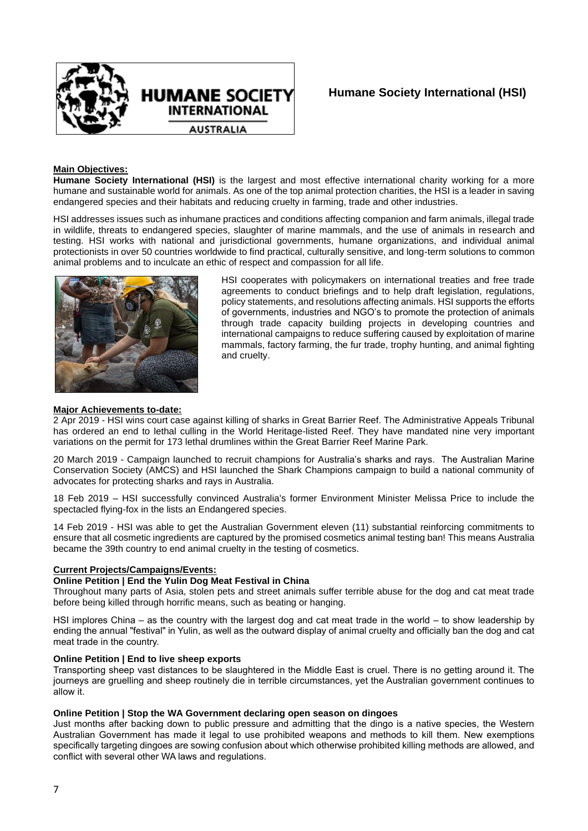

# **Humane Society International (HSI)**

## **Main Objectives:**

**Humane Society International (HSI)** is the largest and most effective international charity working for a more humane and sustainable world for animals. As one of the top animal protection charities, the HSI is a leader in saving endangered species and their habitats and reducing cruelty in farming, trade and other industries.

HSI addresses issues such as inhumane practices and conditions affecting companion and farm animals, illegal trade in wildlife, threats to endangered species, slaughter of marine mammals, and the use of animals in research and testing. HSI works with national and jurisdictional governments, humane organizations, and individual animal protectionists in over 50 countries worldwide to find practical, culturally sensitive, and long-term solutions to common animal problems and to inculcate an ethic of respect and compassion for all life.



HSI cooperates with policymakers on international treaties and free trade agreements to conduct briefings and to help draft legislation, regulations, policy statements, and resolutions affecting animals. HSI supports the efforts of governments, industries and NGO's to promote the protection of animals through trade capacity building projects in developing countries and international campaigns to reduce suffering caused by exploitation of marine mammals, factory farming, the fur trade, trophy hunting, and animal fighting and cruelty.

#### **Major Achievements to-date:**

2 Apr 2019 - HSI wins court case against killing of sharks in Great Barrier Reef. The Administrative Appeals Tribunal has ordered an end to lethal culling in the World Heritage-listed Reef. They have mandated nine very important variations on the permit for 173 lethal drumlines within the Great Barrier Reef Marine Park.

20 March 2019 - Campaign launched to recruit champions for Australia's sharks and rays. The Australian Marine Conservation Society (AMCS) and HSI launched the Shark Champions campaign to build a national community of advocates for protecting sharks and rays in Australia.

18 Feb 2019 – HSI successfully convinced Australia's former Environment Minister Melissa Price to include the spectacled flying-fox in the lists an Endangered species.

14 Feb 2019 - HSI was able to get the Australian Government eleven (11) substantial reinforcing commitments to ensure that all cosmetic ingredients are captured by the promised cosmetics animal testing ban! This means Australia became the 39th country to end animal cruelty in the testing of cosmetics.

## **Current Projects/Campaigns/Events:**

## **Online Petition | End the Yulin Dog Meat Festival in China**

Throughout many parts of Asia, stolen pets and street animals suffer terrible abuse for the dog and cat meat trade before being killed through horrific means, such as beating or hanging.

HSI implores China – as the country with the largest dog and cat meat trade in the world – to show leadership by ending the annual "festival" in Yulin, as well as the outward display of animal cruelty and officially ban the dog and cat meat trade in the country.

#### **Online Petition | End to live sheep exports**

Transporting sheep vast distances to be slaughtered in the Middle East is cruel. There is no getting around it. The journeys are gruelling and sheep routinely die in terrible circumstances, yet the Australian government continues to allow it.

### **Online Petition | Stop the WA Government declaring open season on dingoes**

Just months after backing down to public pressure and admitting that the dingo is a native species, the Western Australian Government has made it legal to use prohibited weapons and methods to kill them. New exemptions specifically targeting dingoes are sowing confusion about which otherwise prohibited killing methods are allowed, and conflict with several other WA laws and regulations.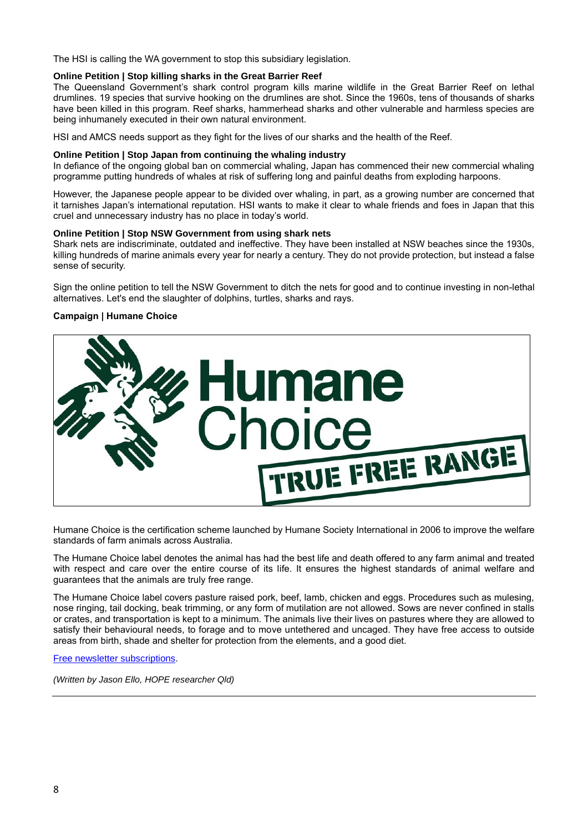The HSI is calling the WA government to stop this subsidiary legislation.

## **Online Petition | Stop killing sharks in the Great Barrier Reef**

The Queensland Government's shark control program kills marine wildlife in the Great Barrier Reef on lethal drumlines. 19 species that survive hooking on the drumlines are shot. Since the 1960s, tens of thousands of sharks have been killed in this program. Reef sharks, hammerhead sharks and other vulnerable and harmless species are being inhumanely executed in their own natural environment.

HSI and AMCS needs support as they fight for the lives of our sharks and the health of the Reef.

#### **Online Petition | Stop Japan from continuing the whaling industry**

In defiance of the ongoing global ban on commercial whaling, Japan has commenced their new commercial whaling programme putting hundreds of whales at risk of suffering long and painful deaths from exploding harpoons.

However, the Japanese people appear to be divided over whaling, in part, as a growing number are concerned that it tarnishes Japan's international reputation. HSI wants to make it clear to whale friends and foes in Japan that this cruel and unnecessary industry has no place in today's world.

## **Online Petition | Stop NSW Government from using shark nets**

Shark nets are indiscriminate, outdated and ineffective. They have been installed at NSW beaches since the 1930s, killing hundreds of marine animals every year for nearly a century. They do not provide protection, but instead a false sense of security.

Sign the online petition to tell the NSW Government to ditch the nets for good and to continue investing in non-lethal alternatives. Let's end the slaughter of dolphins, turtles, sharks and rays.

## **Campaign | Humane Choice**



Humane Choice is the certification scheme launched by Humane Society International in 2006 to improve the welfare standards of farm animals across Australia.

The Humane Choice label denotes the animal has had the best life and death offered to any farm animal and treated with respect and care over the entire course of its life. It ensures the highest standards of animal welfare and guarantees that the animals are truly free range.

The Humane Choice label covers pasture raised pork, beef, lamb, chicken and eggs. Procedures such as mulesing, nose ringing, tail docking, beak trimming, or any form of mutilation are not allowed. Sows are never confined in stalls or crates, and transportation is kept to a minimum. The animals live their lives on pastures where they are allowed to satisfy their behavioural needs, to forage and to move untethered and uncaged. They have free access to outside areas from birth, shade and shelter for protection from the elements, and a good diet.

[Free newsletter subscriptions.](https://action.hsi.org.au/page/32000/subscribe/1?locale=en-AU)

*(Written by Jason Ello, HOPE researcher Qld)*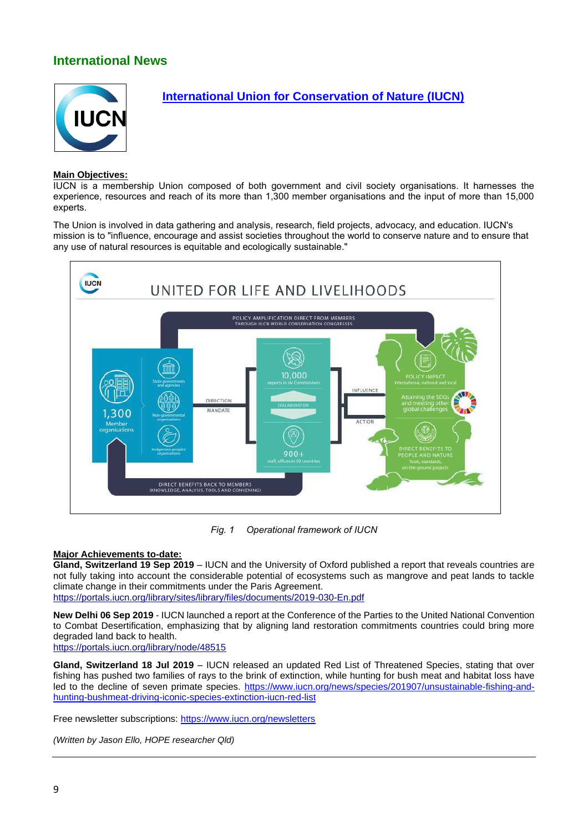# **International News**



# **[International Union for Conservation of Nature \(IUCN\)](https://www.iucn.org/)**

## **Main Objectives:**

IUCN is a membership Union composed of both government and civil society organisations. It harnesses the experience, resources and reach of its more than 1,300 member organisations and the input of more than 15,000 experts.

The Union is involved in data gathering and analysis, research, field projects, advocacy, and education. IUCN's mission is to "influence, encourage and assist societies throughout the world to conserve nature and to ensure that any use of natural resources is equitable and ecologically sustainable."



*Fig. 1 Operational framework of IUCN*

## **Major Achievements to-date:**

**Gland, Switzerland 19 Sep 2019** – IUCN and the University of Oxford published a report that reveals countries are not fully taking into account the considerable potential of ecosystems such as mangrove and peat lands to tackle climate change in their commitments under the Paris Agreement. <https://portals.iucn.org/library/sites/library/files/documents/2019-030-En.pdf>

**New Delhi 06 Sep 2019** - IUCN launched a report at the Conference of the Parties to the United National Convention to Combat Desertification, emphasizing that by aligning land restoration commitments countries could bring more

degraded land back to health. <https://portals.iucn.org/library/node/48515>

**Gland, Switzerland 18 Jul 2019** – IUCN released an updated Red List of Threatened Species, stating that over fishing has pushed two families of rays to the brink of extinction, while hunting for bush meat and habitat loss have led to the decline of seven primate species. [https://www.iucn.org/news/species/201907/unsustainable-fishing-and](https://www.iucn.org/news/species/201907/unsustainable-fishing-and-hunting-bushmeat-driving-iconic-species-extinction-iucn-red-list)[hunting-bushmeat-driving-iconic-species-extinction-iucn-red-list](https://www.iucn.org/news/species/201907/unsustainable-fishing-and-hunting-bushmeat-driving-iconic-species-extinction-iucn-red-list)

Free newsletter subscriptions:<https://www.iucn.org/newsletters>

*(Written by Jason Ello, HOPE researcher Qld)*